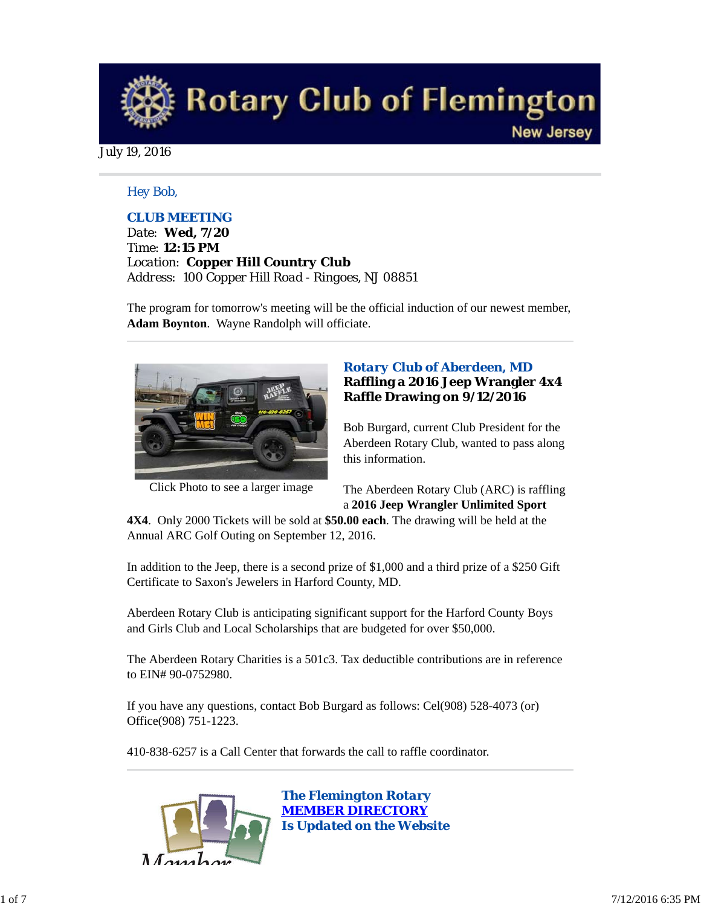

July 19, 2016

## *Hey Bob,*

## *CLUB MEETING*

*Date: Wed, 7/20 Time: 12:15 PM Location: Copper Hill Country Club Address: 100 Copper Hill Road - Ringoes, NJ 08851*

The program for tomorrow's meeting will be the official induction of our newest member, **Adam Boynton**. Wayne Randolph will officiate.



Click Photo to see a larger image

## *Rotary Club of Aberdeen, MD* **Raffling a 2016 Jeep Wrangler 4x4 Raffle Drawing on 9/12/2016**

Bob Burgard, current Club President for the Aberdeen Rotary Club, wanted to pass along this information.

The Aberdeen Rotary Club (ARC) is raffling a **2016 Jeep Wrangler Unlimited Sport**

**4X4**. Only 2000 Tickets will be sold at **\$50.00 each**. The drawing will be held at the Annual ARC Golf Outing on September 12, 2016.

In addition to the Jeep, there is a second prize of \$1,000 and a third prize of a \$250 Gift Certificate to Saxon's Jewelers in Harford County, MD.

Aberdeen Rotary Club is anticipating significant support for the Harford County Boys and Girls Club and Local Scholarships that are budgeted for over \$50,000.

The Aberdeen Rotary Charities is a 501c3. Tax deductible contributions are in reference to EIN# 90-0752980.

If you have any questions, contact Bob Burgard as follows: Cel(908) 528-4073 (or) Office(908) 751-1223.

410-838-6257 is a Call Center that forwards the call to raffle coordinator.

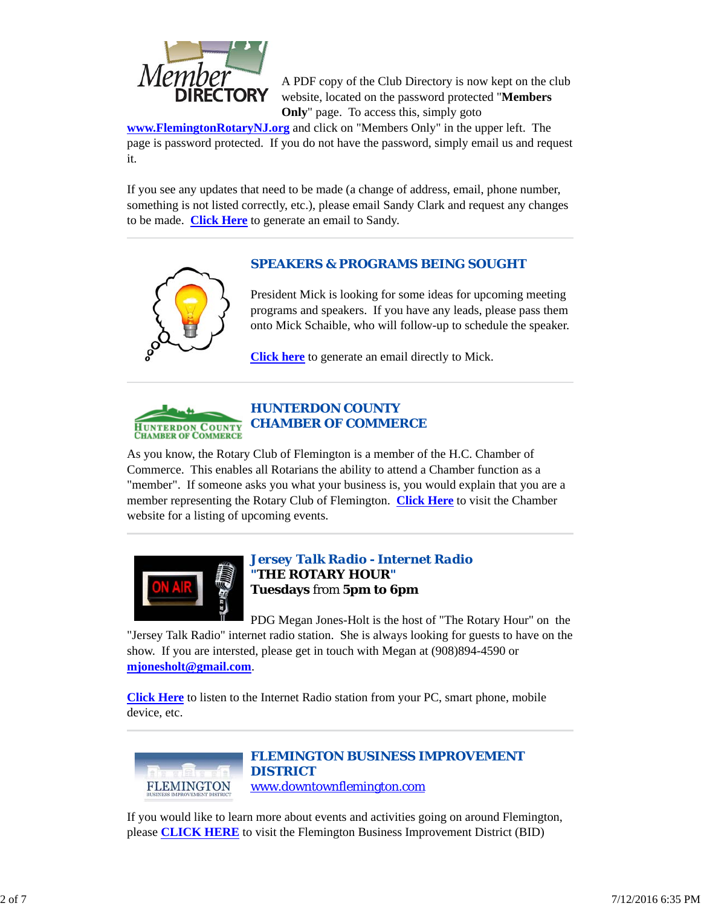

A PDF copy of the Club Directory is now kept on the club website, located on the password protected "**Members Only**" page. To access this, simply goto

**www.FlemingtonRotaryNJ.org** and click on "Members Only" in the upper left. The page is password protected. If you do not have the password, simply email us and request it.

If you see any updates that need to be made (a change of address, email, phone number, something is not listed correctly, etc.), please email Sandy Clark and request any changes to be made. **Click Here** to generate an email to Sandy.

# *SPEAKERS & PROGRAMS BEING SOUGHT*



President Mick is looking for some ideas for upcoming meeting programs and speakers. If you have any leads, please pass them onto Mick Schaible, who will follow-up to schedule the speaker.

**Click here** to generate an email directly to Mick.



# *HUNTERDON COUNTY CHAMBER OF COMMERCE*

As you know, the Rotary Club of Flemington is a member of the H.C. Chamber of Commerce. This enables all Rotarians the ability to attend a Chamber function as a "member". If someone asks you what your business is, you would explain that you are a member representing the Rotary Club of Flemington. **Click Here** to visit the Chamber website for a listing of upcoming events.



## *Jersey Talk Radio - Internet Radio "THE ROTARY HOUR"* **Tuesdays** from **5pm to 6pm**

PDG Megan Jones-Holt is the host of "The Rotary Hour" on the "Jersey Talk Radio" internet radio station. She is always looking for guests to have on the show. If you are intersted, please get in touch with Megan at (908)894-4590 or **mjonesholt@gmail.com**.

**Click Here** to listen to the Internet Radio station from your PC, smart phone, mobile device, etc.



*FLEMINGTON BUSINESS IMPROVEMENT DISTRICT* www.downtownflemington.com

If you would like to learn more about events and activities going on around Flemington, please **CLICK HERE** to visit the Flemington Business Improvement District (BID)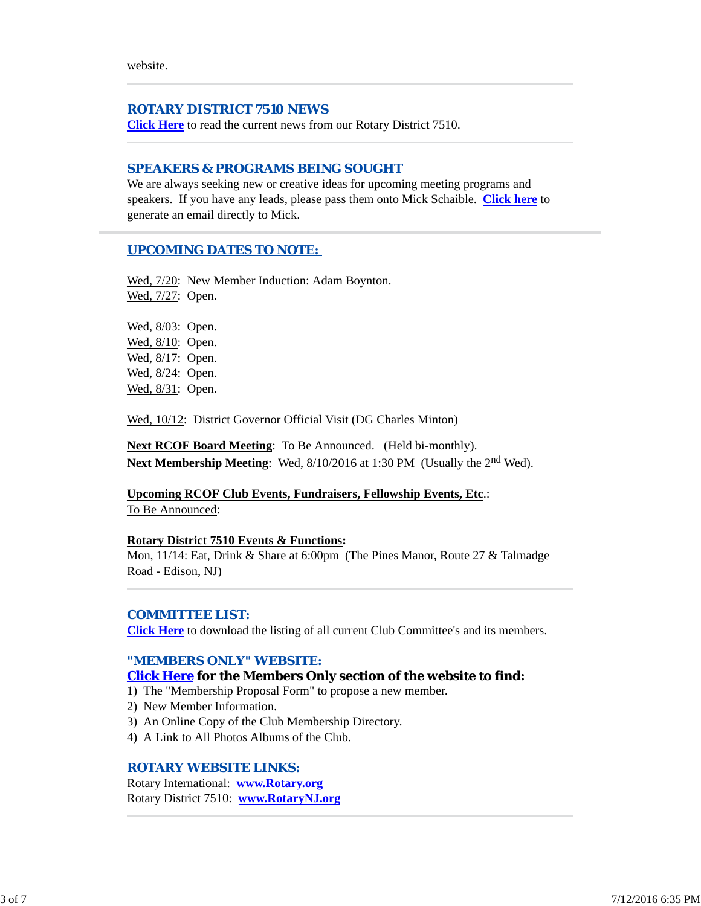website.

## *ROTARY DISTRICT 7510 NEWS*

**Click Here** to read the current news from our Rotary District 7510.

## *SPEAKERS & PROGRAMS BEING SOUGHT*

We are always seeking new or creative ideas for upcoming meeting programs and speakers. If you have any leads, please pass them onto Mick Schaible. **Click here** to generate an email directly to Mick.

## *UPCOMING DATES TO NOTE:*

Wed,  $7/20$ : New Member Induction: Adam Boynton. Wed, 7/27: Open.

Wed, 8/03: Open. Wed, 8/10: Open. Wed, 8/17: Open. Wed, 8/24: Open. Wed, 8/31: Open.

Wed, 10/12: District Governor Official Visit (DG Charles Minton)

**Next RCOF Board Meeting**: To Be Announced. (Held bi-monthly). **Next Membership Meeting**: Wed, 8/10/2016 at 1:30 PM (Usually the 2<sup>nd</sup> Wed).

**Upcoming RCOF Club Events, Fundraisers, Fellowship Events, Etc**.: To Be Announced:

#### **Rotary District 7510 Events & Functions:**

Mon, 11/14: Eat, Drink & Share at 6:00pm (The Pines Manor, Route 27 & Talmadge Road - Edison, NJ)

#### *COMMITTEE LIST:*

**Click Here** to download the listing of all current Club Committee's and its members.

## *"MEMBERS ONLY" WEBSITE:*

### **Click Here for the Members Only section of the website to find:**

- 1) The "Membership Proposal Form" to propose a new member.
- 2) New Member Information.
- 3) An Online Copy of the Club Membership Directory.
- 4) A Link to All Photos Albums of the Club.

## *ROTARY WEBSITE LINKS:*

Rotary International: **www.Rotary.org** Rotary District 7510: **www.RotaryNJ.org**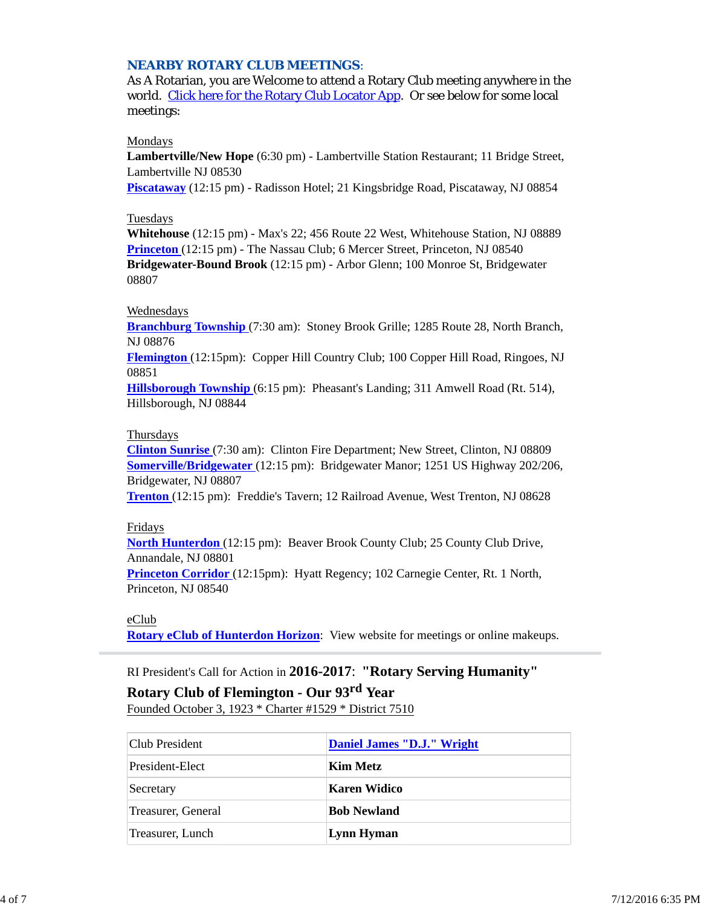## *NEARBY ROTARY CLUB MEETINGS:*

As A Rotarian, you are Welcome to attend a Rotary Club meeting anywhere in the world. Click here for the Rotary Club Locator App. Or see below for some local meetings:

### Mondays

**Lambertville/New Hope** (6:30 pm) - Lambertville Station Restaurant; 11 Bridge Street, Lambertville NJ 08530

**Piscataway** (12:15 pm) - Radisson Hotel; 21 Kingsbridge Road, Piscataway, NJ 08854

## Tuesdays

**Whitehouse** (12:15 pm) - Max's 22; 456 Route 22 West, Whitehouse Station, NJ 08889 **Princeton** (12:15 pm) - The Nassau Club; 6 Mercer Street, Princeton, NJ 08540 **Bridgewater-Bound Brook** (12:15 pm) - Arbor Glenn; 100 Monroe St, Bridgewater 08807

## Wednesdays

**Branchburg Township** (7:30 am): Stoney Brook Grille; 1285 Route 28, North Branch, NJ 08876

**Flemington** (12:15pm): Copper Hill Country Club; 100 Copper Hill Road, Ringoes, NJ 08851

**Hillsborough Township** (6:15 pm): Pheasant's Landing; 311 Amwell Road (Rt. 514), Hillsborough, NJ 08844

## Thursdays

**Clinton Sunrise** (7:30 am): Clinton Fire Department; New Street, Clinton, NJ 08809 **Somerville/Bridgewater** (12:15 pm): Bridgewater Manor; 1251 US Highway 202/206, Bridgewater, NJ 08807

**Trenton** (12:15 pm): Freddie's Tavern; 12 Railroad Avenue, West Trenton, NJ 08628

#### Fridays

**North Hunterdon** (12:15 pm): Beaver Brook County Club; 25 County Club Drive, Annandale, NJ 08801

**Princeton Corridor** (12:15pm): Hyatt Regency; 102 Carnegie Center, Rt. 1 North, Princeton, NJ 08540

#### eClub

**Rotary eClub of Hunterdon Horizon**: View website for meetings or online makeups.

## RI President's Call for Action in **2016-2017**: **"Rotary Serving Humanity"**

# **Rotary Club of Flemington - Our 93rd Year**

Founded October 3, 1923 \* Charter #1529 \* District 7510

| Club President     | Daniel James "D.J." Wright |
|--------------------|----------------------------|
| President-Elect    | Kim Metz                   |
| Secretary          | Karen Widico               |
| Treasurer, General | <b>Bob Newland</b>         |
| Treasurer, Lunch   | Lynn Hyman                 |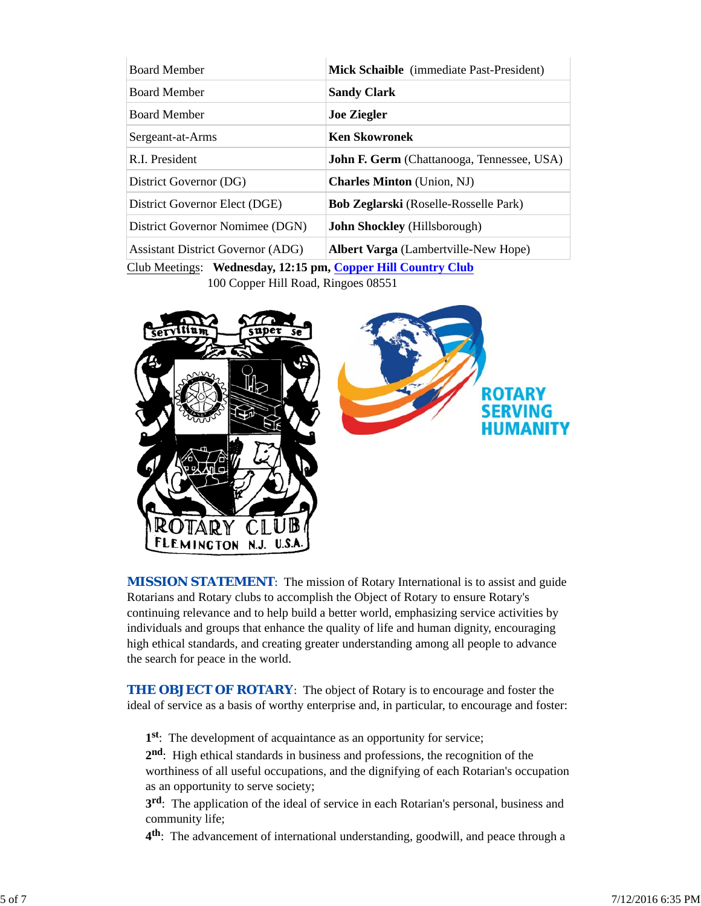| <b>Board Member</b>                                        | Mick Schaible (immediate Past-President)          |  |  |
|------------------------------------------------------------|---------------------------------------------------|--|--|
| <b>Board Member</b>                                        | <b>Sandy Clark</b>                                |  |  |
| <b>Board Member</b>                                        | <b>Joe Ziegler</b>                                |  |  |
| Sergeant-at-Arms                                           | <b>Ken Skowronek</b>                              |  |  |
| R.I. President                                             | <b>John F. Germ</b> (Chattanooga, Tennessee, USA) |  |  |
| District Governor (DG)                                     | <b>Charles Minton</b> (Union, NJ)                 |  |  |
| District Governor Elect (DGE)                              | <b>Bob Zeglarski</b> (Roselle-Rosselle Park)      |  |  |
| District Governor Nomimee (DGN)                            | <b>John Shockley</b> (Hillsborough)               |  |  |
| <b>Assistant District Governor (ADG)</b>                   | <b>Albert Varga</b> (Lambertville-New Hope)       |  |  |
| Club Meetings: Wednesday 12:15 pm Conner Hill Country Club |                                                   |  |  |

<u>Iub Meetings</u>: **wednesday, 12:15 pm, <u>Copper Hill Country Club</u>** 100 Copper Hill Road, Ringoes 08551



**MISSION STATEMENT:** The mission of Rotary International is to assist and guide Rotarians and Rotary clubs to accomplish the Object of Rotary to ensure Rotary's continuing relevance and to help build a better world, emphasizing service activities by individuals and groups that enhance the quality of life and human dignity, encouraging high ethical standards, and creating greater understanding among all people to advance the search for peace in the world.

**THE OBJECT OF ROTARY:** The object of Rotary is to encourage and foster the ideal of service as a basis of worthy enterprise and, in particular, to encourage and foster:

**1st**: The development of acquaintance as an opportunity for service;

**2nd**: High ethical standards in business and professions, the recognition of the worthiness of all useful occupations, and the dignifying of each Rotarian's occupation as an opportunity to serve society;

**3rd**: The application of the ideal of service in each Rotarian's personal, business and community life;

**4th**: The advancement of international understanding, goodwill, and peace through a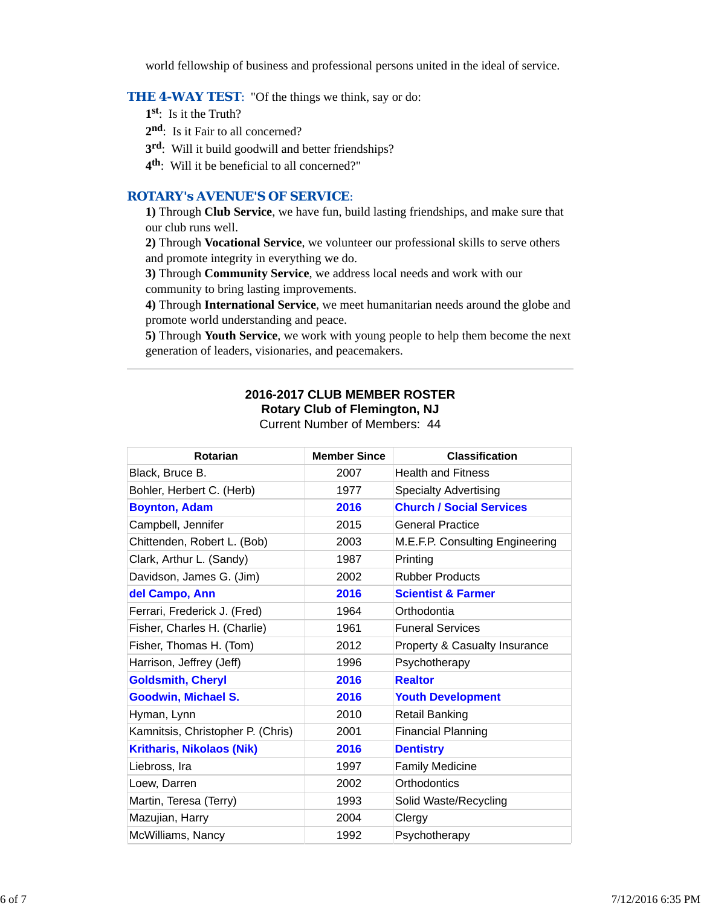world fellowship of business and professional persons united in the ideal of service.

## **THE 4-WAY TEST:** "Of the things we think, say or do:

- **1st**: Is it the Truth?
- 2<sup>nd</sup>: Is it Fair to all concerned?
- **3rd**: Will it build goodwill and better friendships?
- **4th**: Will it be beneficial to all concerned?"

# *ROTARY's AVENUE'S OF SERVICE*:

**1)** Through **Club Service**, we have fun, build lasting friendships, and make sure that our club runs well.

**2)** Through **Vocational Service**, we volunteer our professional skills to serve others and promote integrity in everything we do.

**3)** Through **Community Service**, we address local needs and work with our community to bring lasting improvements.

**4)** Through **International Service**, we meet humanitarian needs around the globe and promote world understanding and peace.

**5)** Through **Youth Service**, we work with young people to help them become the next generation of leaders, visionaries, and peacemakers.

# **2016-2017 CLUB MEMBER ROSTER**

**Rotary Club of Flemington, NJ**

Current Number of Members: 44

| <b>Rotarian</b>                   | <b>Member Since</b> | <b>Classification</b>           |
|-----------------------------------|---------------------|---------------------------------|
| Black, Bruce B.                   | 2007                | <b>Health and Fitness</b>       |
| Bohler, Herbert C. (Herb)         | 1977                | <b>Specialty Advertising</b>    |
| <b>Boynton, Adam</b>              | 2016                | <b>Church / Social Services</b> |
| Campbell, Jennifer                | 2015                | <b>General Practice</b>         |
| Chittenden, Robert L. (Bob)       | 2003                | M.E.F.P. Consulting Engineering |
| Clark, Arthur L. (Sandy)          | 1987                | Printing                        |
| Davidson, James G. (Jim)          | 2002                | <b>Rubber Products</b>          |
| del Campo, Ann                    | 2016                | <b>Scientist &amp; Farmer</b>   |
| Ferrari, Frederick J. (Fred)      | 1964                | Orthodontia                     |
| Fisher, Charles H. (Charlie)      | 1961                | <b>Funeral Services</b>         |
| Fisher, Thomas H. (Tom)           | 2012                | Property & Casualty Insurance   |
| Harrison, Jeffrey (Jeff)          | 1996                | Psychotherapy                   |
| <b>Goldsmith, Cheryl</b>          | 2016                | <b>Realtor</b>                  |
| <b>Goodwin, Michael S.</b>        | 2016                | <b>Youth Development</b>        |
| Hyman, Lynn                       | 2010                | <b>Retail Banking</b>           |
| Kamnitsis, Christopher P. (Chris) | 2001                | <b>Financial Planning</b>       |
| <b>Kritharis, Nikolaos (Nik)</b>  | 2016                | <b>Dentistry</b>                |
| Liebross, Ira                     | 1997                | <b>Family Medicine</b>          |
| Loew, Darren                      | 2002                | Orthodontics                    |
| Martin, Teresa (Terry)            | 1993                | Solid Waste/Recycling           |
| Mazujian, Harry                   | 2004                | Clergy                          |
| McWilliams, Nancy                 | 1992                | Psychotherapy                   |